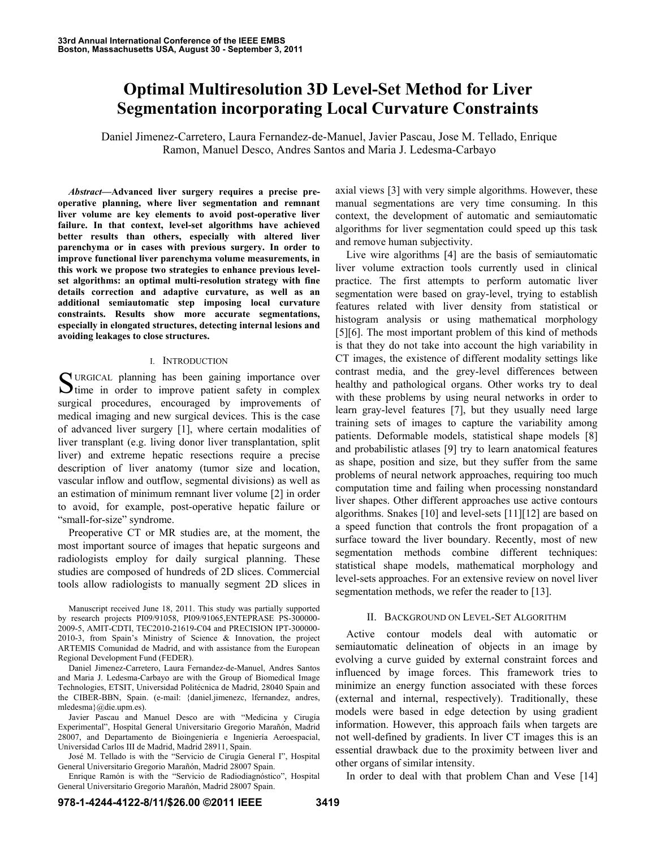# **Optimal Multiresolution 3D Level-Set Method for Liver Segmentation incorporating Local Curvature Constraints**

Daniel Jimenez-Carretero, Laura Fernandez-de-Manuel, Javier Pascau, Jose M. Tellado, Enrique Ramon, Manuel Desco, Andres Santos and Maria J. Ledesma-Carbayo

*Abstract***—Advanced liver surgery requires a precise preoperative planning, where liver segmentation and remnant liver volume are key elements to avoid post-operative liver failure. In that context, level-set algorithms have achieved better results than others, especially with altered liver parenchyma or in cases with previous surgery. In order to improve functional liver parenchyma volume measurements, in this work we propose two strategies to enhance previous levelset algorithms: an optimal multi-resolution strategy with fine details correction and adaptive curvature, as well as an additional semiautomatic step imposing local curvature constraints. Results show more accurate segmentations, especially in elongated structures, detecting internal lesions and avoiding leakages to close structures.**

### I. INTRODUCTION

URGICAL planning has been gaining importance over SURGICAL planning has been gaining importance over time in order to improve patient safety in complex surgical procedures, encouraged by improvements of medical imaging and new surgical devices. This is the case of advanced liver surgery [1], where certain modalities of liver transplant (e.g. living donor liver transplantation, split liver) and extreme hepatic resections require a precise description of liver anatomy (tumor size and location, vascular inflow and outflow, segmental divisions) as well as an estimation of minimum remnant liver volume [2] in order to avoid, for example, post-operative hepatic failure or "small-for-size" syndrome.

Preoperative CT or MR studies are, at the moment, the most important source of images that hepatic surgeons and radiologists employ for daily surgical planning. These studies are composed of hundreds of 2D slices. Commercial tools allow radiologists to manually segment 2D slices in

Manuscript received June 18, 2011. This study was partially supported by research projects PI09/91058, PI09/91065,ENTEPRASE PS-300000- 2009-5, AMIT-CDTI, TEC2010-21619-C04 and PRECISION IPT-300000- 2010-3, from Spain's Ministry of Science & Innovation, the project ARTEMIS Comunidad de Madrid, and with assistance from the European Regional Development Fund (FEDER).

Daniel Jimenez-Carretero, Laura Fernandez-de-Manuel, Andres Santos and Maria J. Ledesma-Carbayo are with the Group of Biomedical Image Technologies, ETSIT, Universidad Politécnica de Madrid, 28040 Spain and the CIBER-BBN, Spain. (e-mail: {daniel.jimenezc, lfernandez, andres, mledesma}@die.upm.es).

Javier Pascau and Manuel Desco are with "Medicina y Cirugía Experimental", Hospital General Universitario Gregorio Marañón, Madrid 28007, and Departamento de Bioingeniería e Ingeniería Aeroespacial, Universidad Carlos III de Madrid, Madrid 28911, Spain.

José M. Tellado is with the "Servicio de Cirugía General I", Hospital General Universitario Gregorio Marañón, Madrid 28007 Spain.

Enrique Ramón is with the "Servicio de Radiodiagnóstico", Hospital General Universitario Gregorio Marañón, Madrid 28007 Spain.

axial views [3] with very simple algorithms. However, these manual segmentations are very time consuming. In this context, the development of automatic and semiautomatic algorithms for liver segmentation could speed up this task and remove human subjectivity.

Live wire algorithms [4] are the basis of semiautomatic liver volume extraction tools currently used in clinical practice. The first attempts to perform automatic liver segmentation were based on gray-level, trying to establish features related with liver density from statistical or histogram analysis or using mathematical morphology [5][6]. The most important problem of this kind of methods is that they do not take into account the high variability in CT images, the existence of different modality settings like contrast media, and the grey-level differences between healthy and pathological organs. Other works try to deal with these problems by using neural networks in order to learn gray-level features [7], but they usually need large training sets of images to capture the variability among patients. Deformable models, statistical shape models [8] and probabilistic atlases [9] try to learn anatomical features as shape, position and size, but they suffer from the same problems of neural network approaches, requiring too much computation time and failing when processing nonstandard liver shapes. Other different approaches use active contours algorithms. Snakes [10] and level-sets [11][12] are based on a speed function that controls the front propagation of a surface toward the liver boundary. Recently, most of new segmentation methods combine different techniques: statistical shape models, mathematical morphology and level-sets approaches. For an extensive review on novel liver segmentation methods, we refer the reader to [13].

### II. BACKGROUND ON LEVEL-SET ALGORITHM

Active contour models deal with automatic or semiautomatic delineation of objects in an image by evolving a curve guided by external constraint forces and influenced by image forces. This framework tries to minimize an energy function associated with these forces (external and internal, respectively). Traditionally, these models were based in edge detection by using gradient information. However, this approach fails when targets are not well-defined by gradients. In liver CT images this is an essential drawback due to the proximity between liver and other organs of similar intensity.

In order to deal with that problem Chan and Vese [14]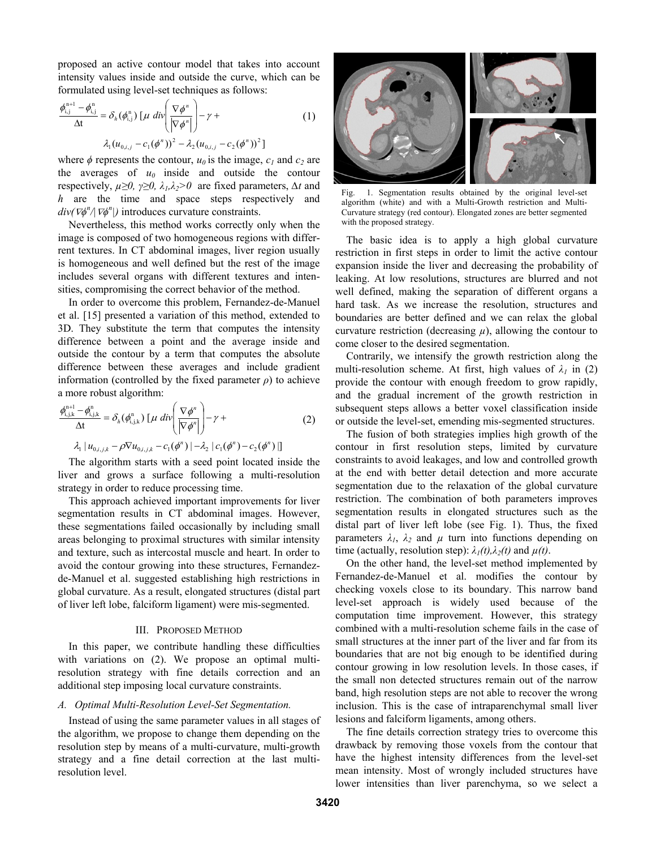proposed an active contour model that takes into account intensity values inside and outside the curve, which can be formulated using level-set techniques as follows:

$$
\frac{\phi_{i,j}^{n+1} - \phi_{i,j}^{n}}{\Delta t} = \delta_h(\phi_{i,j}^{n}) \left[ \mu \, \text{div} \left( \frac{\nabla \phi^{n}}{|\nabla \phi^{n}|} \right) - \gamma + \right. \\
\lambda_1 (u_{0,i,j} - c_1(\phi^{n}))^2 - \lambda_2 (u_{0,i,j} - c_2(\phi^{n}))^2 \right]
$$
 (1)

where  $\phi$  represents the contour,  $u_0$  is the image,  $c_1$  and  $c_2$  are the averages of  $u_0$  inside and outside the contour respectively,  $\mu \geq 0$ ,  $\gamma \geq 0$ ,  $\lambda_1, \lambda_2 > 0$  are fixed parameters,  $\Delta t$  and *h* are the time and space steps respectively and  $div(\nabla \phi^n / |\nabla \phi^n|)$  introduces curvature constraints.

Nevertheless, this method works correctly only when the image is composed of two homogeneous regions with differrent textures. In CT abdominal images, liver region usually is homogeneous and well defined but the rest of the image includes several organs with different textures and intensities, compromising the correct behavior of the method.

In order to overcome this problem, Fernandez-de-Manuel et al. [15] presented a variation of this method, extended to 3D. They substitute the term that computes the intensity difference between a point and the average inside and outside the contour by a term that computes the absolute difference between these averages and include gradient information (controlled by the fixed parameter  $\rho$ ) to achieve a more robust algorithm:

$$
\frac{\phi_{i,j,k}^{n+1} - \phi_{i,j,k}^{n}}{\Delta t} = \delta_h(\phi_{i,j,k}^{n}) \left[ \mu \, div \left( \frac{\nabla \phi^n}{|\nabla \phi^n|} \right) - \gamma + \lambda_1 | u_{0,i,j,k} - \rho \nabla u_{0,j,j,k} - c_1(\phi^n) | -\lambda_2 | c_1(\phi^n) - c_2(\phi^n) | \right]
$$
\n(2)

The algorithm starts with a seed point located inside the liver and grows a surface following a multi-resolution strategy in order to reduce processing time.

This approach achieved important improvements for liver segmentation results in CT abdominal images. However, these segmentations failed occasionally by including small areas belonging to proximal structures with similar intensity and texture, such as intercostal muscle and heart. In order to avoid the contour growing into these structures, Fernandezde-Manuel et al. suggested establishing high restrictions in global curvature. As a result, elongated structures (distal part of liver left lobe, falciform ligament) were mis-segmented.

#### III. PROPOSED METHOD

In this paper, we contribute handling these difficulties with variations on (2). We propose an optimal multiresolution strategy with fine details correction and an additional step imposing local curvature constraints.

# *A. Optimal Multi-Resolution Level-Set Segmentation.*

Instead of using the same parameter values in all stages of the algorithm, we propose to change them depending on the resolution step by means of a multi-curvature, multi-growth strategy and a fine detail correction at the last multiresolution level.



Fig. 1. Segmentation results obtained by the original level-set algorithm (white) and with a Multi-Growth restriction and Multi-Curvature strategy (red contour). Elongated zones are better segmented with the proposed strategy.

The basic idea is to apply a high global curvature restriction in first steps in order to limit the active contour expansion inside the liver and decreasing the probability of leaking. At low resolutions, structures are blurred and not well defined, making the separation of different organs a hard task. As we increase the resolution, structures and boundaries are better defined and we can relax the global curvature restriction (decreasing  $\mu$ ), allowing the contour to come closer to the desired segmentation.

Contrarily, we intensify the growth restriction along the multi-resolution scheme. At first, high values of  $\lambda_I$  in (2) provide the contour with enough freedom to grow rapidly, and the gradual increment of the growth restriction in subsequent steps allows a better voxel classification inside or outside the level-set, emending mis-segmented structures.

The fusion of both strategies implies high growth of the contour in first resolution steps, limited by curvature constraints to avoid leakages, and low and controlled growth at the end with better detail detection and more accurate segmentation due to the relaxation of the global curvature restriction. The combination of both parameters improves segmentation results in elongated structures such as the distal part of liver left lobe (see Fig. 1). Thus, the fixed parameters  $\lambda_1$ ,  $\lambda_2$  and  $\mu$  turn into functions depending on time (actually, resolution step):  $\lambda_1(t), \lambda_2(t)$  and  $\mu(t)$ .

On the other hand, the level-set method implemented by Fernandez-de-Manuel et al. modifies the contour by checking voxels close to its boundary. This narrow band level-set approach is widely used because of the computation time improvement. However, this strategy combined with a multi-resolution scheme fails in the case of small structures at the inner part of the liver and far from its boundaries that are not big enough to be identified during contour growing in low resolution levels. In those cases, if the small non detected structures remain out of the narrow band, high resolution steps are not able to recover the wrong inclusion. This is the case of intraparenchymal small liver lesions and falciform ligaments, among others.

The fine details correction strategy tries to overcome this drawback by removing those voxels from the contour that have the highest intensity differences from the level-set mean intensity. Most of wrongly included structures have lower intensities than liver parenchyma, so we select a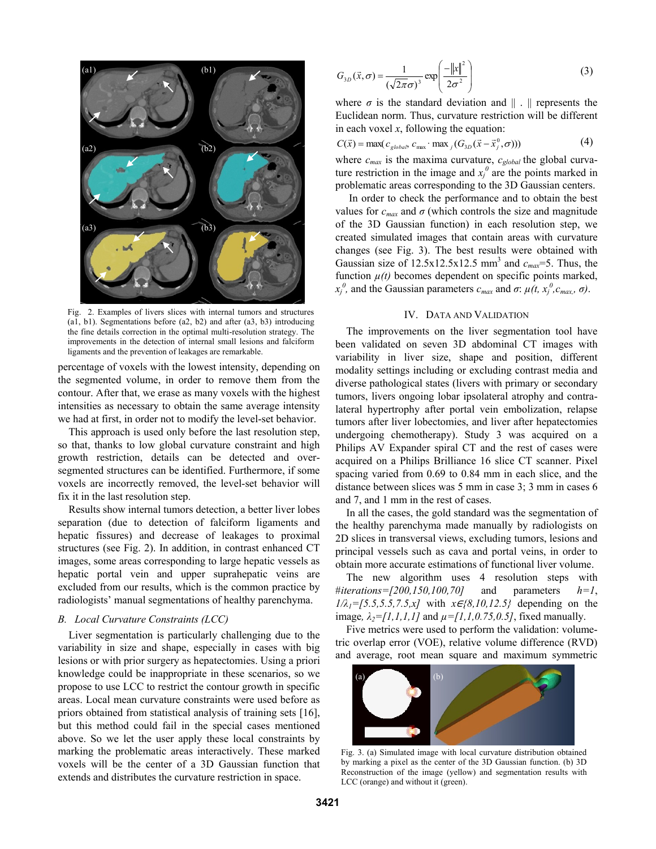

Fig. 2. Examples of livers slices with internal tumors and structures (a1, b1). Segmentations before (a2, b2) and after (a3, b3) introducing the fine details correction in the optimal multi-resolution strategy. The improvements in the detection of internal small lesions and falciform ligaments and the prevention of leakages are remarkable.

percentage of voxels with the lowest intensity, depending on the segmented volume, in order to remove them from the contour. After that, we erase as many voxels with the highest intensities as necessary to obtain the same average intensity we had at first, in order not to modify the level-set behavior.

This approach is used only before the last resolution step, so that, thanks to low global curvature constraint and high growth restriction, details can be detected and oversegmented structures can be identified. Furthermore, if some voxels are incorrectly removed, the level-set behavior will fix it in the last resolution step.

Results show internal tumors detection, a better liver lobes separation (due to detection of falciform ligaments and hepatic fissures) and decrease of leakages to proximal structures (see Fig. 2). In addition, in contrast enhanced CT images, some areas corresponding to large hepatic vessels as hepatic portal vein and upper suprahepatic veins are excluded from our results, which is the common practice by radiologists' manual segmentations of healthy parenchyma.

## *B. Local Curvature Constraints (LCC)*

Liver segmentation is particularly challenging due to the variability in size and shape, especially in cases with big lesions or with prior surgery as hepatectomies. Using a priori knowledge could be inappropriate in these scenarios, so we propose to use LCC to restrict the contour growth in specific areas. Local mean curvature constraints were used before as priors obtained from statistical analysis of training sets [16], but this method could fail in the special cases mentioned above. So we let the user apply these local constraints by marking the problematic areas interactively. These marked voxels will be the center of a 3D Gaussian function that extends and distributes the curvature restriction in space.

$$
G_{3D}(\vec{x},\sigma) = \frac{1}{(\sqrt{2\pi}\sigma)^3} \exp\left(\frac{-\left\|x\right\|^2}{2\sigma^2}\right) \tag{3}
$$

where  $\sigma$  is the standard deviation and  $|| \cdot ||$  represents the Euclidean norm. Thus, curvature restriction will be different in each voxel *x*, following the equation:

$$
C(\vec{x}) = \max(c_{\text{global}}, c_{\text{max}} \cdot \max_j (G_{3D}(\vec{x} - \vec{x}_j^0, \sigma)))
$$
(4)

where  $c_{max}$  is the maxima curvature,  $c_{global}$  the global curvature restriction in the image and  $x_j^0$  are the points marked in problematic areas corresponding to the 3D Gaussian centers.

In order to check the performance and to obtain the best values for  $c_{max}$  and  $\sigma$  (which controls the size and magnitude of the 3D Gaussian function) in each resolution step, we created simulated images that contain areas with curvature changes (see Fig. 3). The best results were obtained with Gaussian size of  $12.5x12.5x12.5$  mm<sup>3</sup> and  $c_{max} = 5$ . Thus, the function  $\mu(t)$  becomes dependent on specific points marked, *x*<sub>*j*</sub><sup>*0*</sup>, and the Gaussian parameters *c*<sub>*max*</sub></sub> and *σ*: *μ*(*t*, *x*<sub>*j*</sub><sup>*0*</sup>,*c*<sub>*max*</sub>, *σ*).

# IV. DATA AND VALIDATION

The improvements on the liver segmentation tool have been validated on seven 3D abdominal CT images with variability in liver size, shape and position, different modality settings including or excluding contrast media and diverse pathological states (livers with primary or secondary tumors, livers ongoing lobar ipsolateral atrophy and contralateral hypertrophy after portal vein embolization, relapse tumors after liver lobectomies, and liver after hepatectomies undergoing chemotherapy). Study 3 was acquired on a Philips AV Expander spiral CT and the rest of cases were acquired on a Philips Brilliance 16 slice CT scanner. Pixel spacing varied from 0.69 to 0.84 mm in each slice, and the distance between slices was 5 mm in case 3; 3 mm in cases 6 and 7, and 1 mm in the rest of cases.

In all the cases, the gold standard was the segmentation of the healthy parenchyma made manually by radiologists on 2D slices in transversal views, excluding tumors, lesions and principal vessels such as cava and portal veins, in order to obtain more accurate estimations of functional liver volume.

The new algorithm uses 4 resolution steps with #*iterations=[200,150,100,70]* and parameters *h=1*, *1/λ1=[5.5,5.5,7.5,x]* with *x*∈*{8,10,12.5}* depending on the image,  $\lambda_2 = [1, 1, 1, 1]$  and  $\mu = [1, 1, 0, 75, 0.5]$ , fixed manually.

Five metrics were used to perform the validation: volumetric overlap error (VOE), relative volume difference (RVD) and average, root mean square and maximum symmetric



Fig. 3. (a) Simulated image with local curvature distribution obtained by marking a pixel as the center of the 3D Gaussian function. (b) 3D Reconstruction of the image (yellow) and segmentation results with LCC (orange) and without it (green).